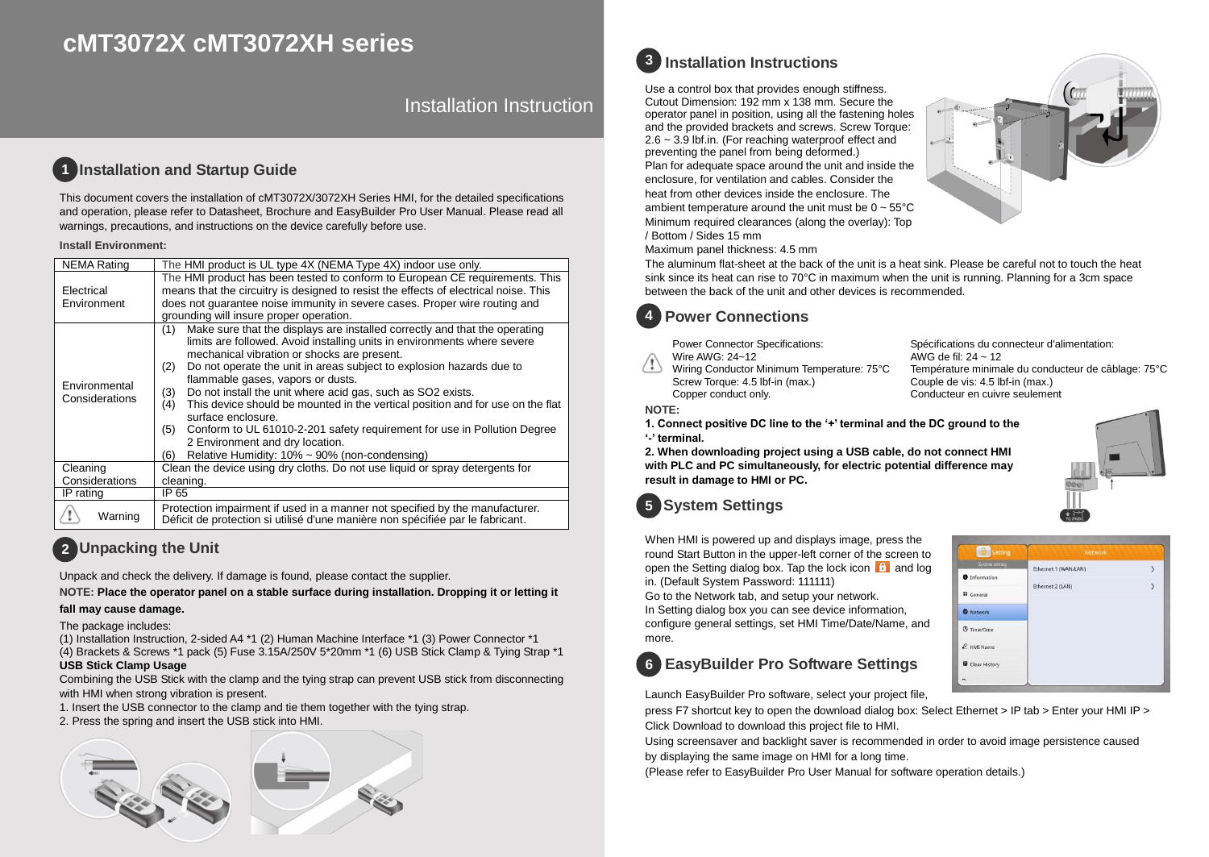# **cMT3072X cMT3072XH series**

Installation Instruction

### **Installation and Startup Guide 1**

This document covers the installation of cMT3072X/3072XH Series HMI, for the detailed specifications and operation, please refer to Datasheet, Brochure and EasyBuilder Pro User Manual. Please read all warnings, precautions, and instructions on the device carefully before use.

### **Install Environment:**

| <b>NEMA Rating</b>              | The HMI product is UL type 4X (NEMA Type 4X) indoor use only.                                                                                                                                                                                                                                                                                                                                                                                                                                                                                                                                                                                                                                              |  |  |  |  |
|---------------------------------|------------------------------------------------------------------------------------------------------------------------------------------------------------------------------------------------------------------------------------------------------------------------------------------------------------------------------------------------------------------------------------------------------------------------------------------------------------------------------------------------------------------------------------------------------------------------------------------------------------------------------------------------------------------------------------------------------------|--|--|--|--|
| Electrical<br>Environment       | The HMI product has been tested to conform to European CE requirements. This<br>means that the circuitry is designed to resist the effects of electrical noise. This<br>does not quarantee noise immunity in severe cases. Proper wire routing and<br>grounding will insure proper operation.                                                                                                                                                                                                                                                                                                                                                                                                              |  |  |  |  |
| Environmental<br>Considerations | Make sure that the displays are installed correctly and that the operating<br>(1)<br>limits are followed. Avoid installing units in environments where severe<br>mechanical vibration or shocks are present.<br>Do not operate the unit in areas subject to explosion hazards due to<br>(2)<br>flammable gases, vapors or dusts.<br>Do not install the unit where acid gas, such as SO2 exists.<br>(3)<br>This device should be mounted in the vertical position and for use on the flat<br>(4)<br>surface enclosure.<br>Conform to UL 61010-2-201 safety requirement for use in Pollution Degree<br>(5)<br>2 Environment and dry location.<br>Relative Humidity: $10\% \sim 90\%$ (non-condensing)<br>(6) |  |  |  |  |
| Cleaning                        | Clean the device using dry cloths. Do not use liquid or spray detergents for                                                                                                                                                                                                                                                                                                                                                                                                                                                                                                                                                                                                                               |  |  |  |  |
| Considerations                  | cleaning.                                                                                                                                                                                                                                                                                                                                                                                                                                                                                                                                                                                                                                                                                                  |  |  |  |  |
| IP rating                       | IP 65                                                                                                                                                                                                                                                                                                                                                                                                                                                                                                                                                                                                                                                                                                      |  |  |  |  |
| Warning                         | Protection impairment if used in a manner not specified by the manufacturer.<br>Déficit de protection si utilisé d'une manière non spécifiée par le fabricant.                                                                                                                                                                                                                                                                                                                                                                                                                                                                                                                                             |  |  |  |  |

# **Unpacking the Unit 2**

Unpack and check the delivery. If damage is found, please contact the supplier.

### **NOTE: Place the operator panel on a stable surface during installation. Dropping it or letting it**

### **fall may cause damage.**

The package includes:

(1) Installation Instruction, 2-sided A4 \*1 (2) Human Machine Interface \*1 (3) Power Connector \*1 (4) Brackets & Screws \*1 pack (5) Fuse 3.15A/250V 5\*20mm \*1 (6) USB Stick Clamp & Tying Strap \*1

## **USB Stick Clamp Usage**

Combining the USB Stick with the clamp and the tying strap can prevent USB stick from disconnecting with HMI when strong vibration is present.

- 1. Insert the USB connector to the clamp and tie them together with the tying strap.
- 2. Press the spring and insert the USB stick into HMI.





Use a control box that provides enough stiffness. Cutout Dimension: 192 mm x 138 mm. Secure the operator panel in position, using all the fastening holes and the provided brackets and screws. Screw Torque: 2.6 ~ 3.9 lbf.in. (For reaching waterproof effect and preventing the panel from being deformed.) Plan for adequate space around the unit and inside the enclosure, for ventilation and cables. Consider the heat from other devices inside the enclosure. The ambient temperature around the unit must be  $0 \sim 55^{\circ}$ C Minimum required clearances (along the overlay): Top / Bottom / Sides 15 mm

Maximum panel thickness: 4.5 mm

The aluminum flat-sheet at the back of the unit is a heat sink. Please be careful not to touch the heat sink since its heat can rise to 70°C in maximum when the unit is running. Planning for a 3cm space between the back of the unit and other devices is recommended.



Power Connector Specifications: Wire AWG: 24~12

Wiring Conductor Minimum Temperature: 75°C Screw Torque: 4.5 lbf-in (max.) Copper conduct only.

Spécifications du connecteur d'alimentation: AWG de fil: 24 ~ 12 Température minimale du conducteur de câblage: 75°C Couple de vis: 4.5 lbf-in (max.) Conducteur en cuivre seulement

### **NOTE:**

**1. Connect positive DC line to the '+' terminal and the DC ground to the '-' terminal.**

**2. When downloading project using a USB cable, do not connect HMI with PLC and PC simultaneously, for electric potential difference may result in damage to HMI or PC.**

### **System Settings 5**

When HMI is powered up and displays image, press the round Start Button in the upper-left corner of the screen to open the Setting dialog box. Tap the lock icon  $\mathbf{f}$  and log in. (Default System Password: 111111)

Go to the Network tab, and setup your network.

In Setting dialog box you can see device information, configure general settings, set HMI Time/Date/Name, and more.

# **EasyBuilder Pro Software Settings 6**

Launch EasyBuilder Pro software, select your project file,

press F7 shortcut key to open the download dialog box: Select Ethernet > IP tab > Enter your HMI IP > Click Download to download this project file to HMI.

Using screensaver and backlight saver is recommended in order to avoid image persistence caused by displaying the same image on HMI for a long time.

(Please refer to EasyBuilder Pro User Manual for software operation details.)